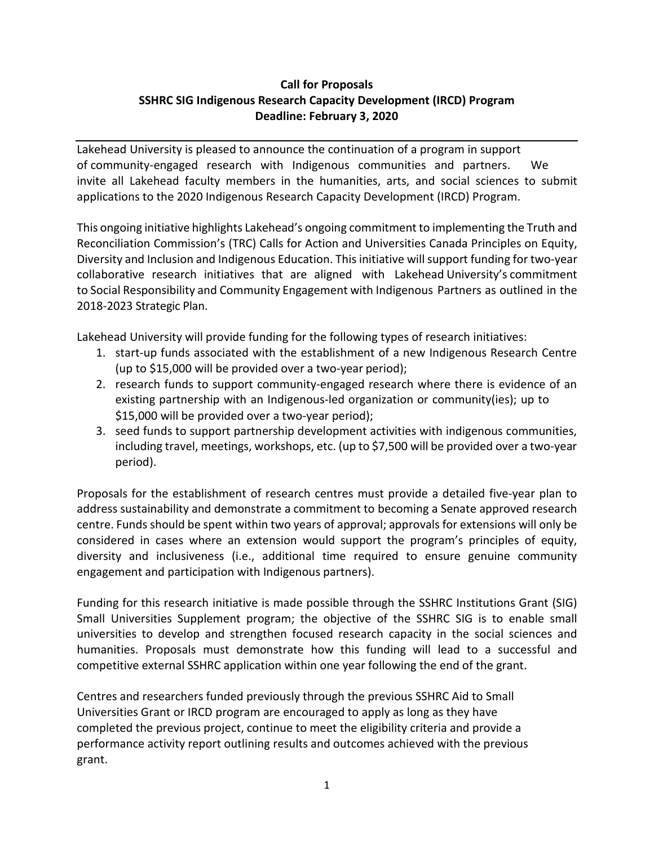## **Call for Proposals SSHRC SIG Indigenous Research Capacity Development (IRCD) Program Deadline: February 3, 2020**

Lakehead University is pleased to announce the continuation of a program in support of community-engaged research with Indigenous communities and partners. We invite all Lakehead faculty members in the humanities, arts, and social sciences to submit applications to the 2020 Indigenous Research Capacity Development (IRCD) Program.

This ongoing initiative highlights Lakehead's ongoing commitment to implementing the Truth and Reconciliation Commission's (TRC) Calls for Action and Universities Canada Principles on Equity, Diversity and Inclusion and Indigenous Education. This initiative will support funding for two-year collaborative research initiatives that are aligned with Lakehead University's commitment to Social Responsibility and Community Engagement with Indigenous Partners as outlined in the 2018-2023 Strategic Plan.

Lakehead University will provide funding for the following types of research initiatives:

- 1. start-up funds associated with the establishment of a new Indigenous Research Centre (up to \$15,000 will be provided over a two-year period);
- 2. research funds to support community-engaged research where there is evidence of an existing partnership with an Indigenous-led organization or community(ies); up to \$15,000 will be provided over a two-year period);
- 3. seed funds to support partnership development activities with indigenous communities, including travel, meetings, workshops, etc. (up to \$7,500 will be provided over a two-year period).

Proposals for the establishment of research centres must provide a detailed five-year plan to address sustainability and demonstrate a commitment to becoming a Senate approved research centre. Funds should be spent within two years of approval; approvals for extensions will only be considered in cases where an extension would support the program's principles of equity, diversity and inclusiveness (i.e., additional time required to ensure genuine community engagement and participation with Indigenous partners).

Funding for this research initiative is made possible through the SSHRC Institutions Grant (SIG) Small Universities Supplement program; the objective of the SSHRC SIG is to enable small universities to develop and strengthen focused research capacity in the social sciences and humanities. Proposals must demonstrate how this funding will lead to a successful and competitive external SSHRC application within one year following the end of the grant.

Centres and researchers funded previously through the previous SSHRC Aid to Small Universities Grant or IRCD program are encouraged to apply as long as they have completed the previous project, continue to meet the eligibility criteria and provide a performance activity report outlining results and outcomes achieved with the previous grant.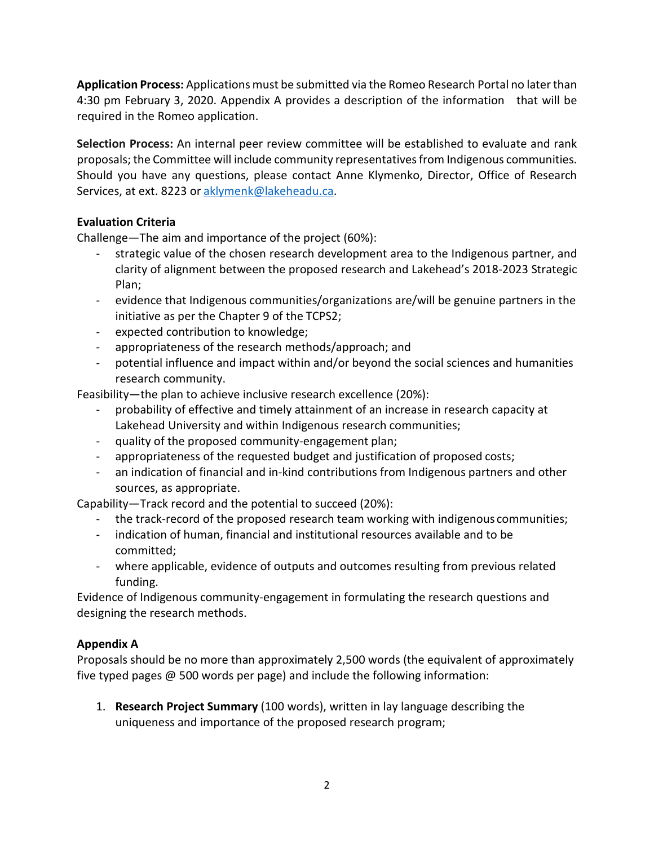**Application Process:** Applications must be submitted via the Romeo Research Portal no later than 4:30 pm February 3, 2020. Appendix A provides a description of the information that will be required in the Romeo application.

**Selection Process:** An internal peer review committee will be established to evaluate and rank proposals; the Committee will include community representativesfrom Indigenous communities. Should you have any questions, please contact Anne Klymenko, Director, Office of Research Services, at ext. 8223 or [aklymenk@lakeheadu.ca.](mailto:aklymenk@lakeheadu.ca)

## **Evaluation Criteria**

Challenge—The aim and importance of the project (60%):

- strategic value of the chosen research development area to the Indigenous partner, and clarity of alignment between the proposed research and Lakehead's 2018-2023 Strategic Plan;
- evidence that Indigenous communities/organizations are/will be genuine partners in the initiative as per the Chapter 9 of the TCPS2;
- expected contribution to knowledge;
- appropriateness of the research methods/approach; and
- potential influence and impact within and/or beyond the social sciences and humanities research community.

Feasibility—the plan to achieve inclusive research excellence (20%):

- probability of effective and timely attainment of an increase in research capacity at Lakehead University and within Indigenous research communities;
- quality of the proposed community-engagement plan;
- appropriateness of the requested budget and justification of proposed costs;
- an indication of financial and in-kind contributions from Indigenous partners and other sources, as appropriate.

Capability—Track record and the potential to succeed (20%):

- the track-record of the proposed research team working with indigenous communities;
- indication of human, financial and institutional resources available and to be committed;
- where applicable, evidence of outputs and outcomes resulting from previous related funding.

Evidence of Indigenous community-engagement in formulating the research questions and designing the research methods.

## **Appendix A**

Proposals should be no more than approximately 2,500 words (the equivalent of approximately five typed pages  $\omega$  500 words per page) and include the following information:

1. **Research Project Summary** (100 words), written in lay language describing the uniqueness and importance of the proposed research program;